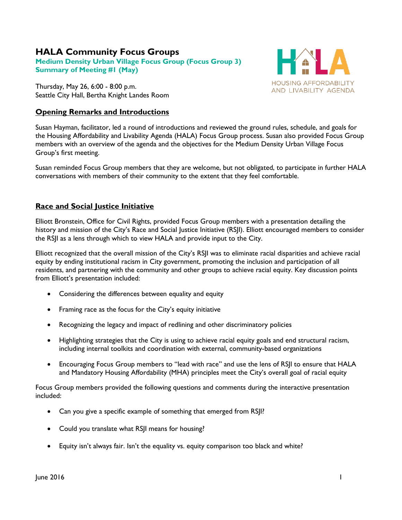# **HALA Community Focus Groups**

**Medium Density Urban Village Focus Group (Focus Group 3) Summary of Meeting #1 (May)**

Thursday, May 26, 6:00 - 8:00 p.m. Seattle City Hall, Bertha Knight Landes Room

# **Opening Remarks and Introductions**



Susan Hayman, facilitator, led a round of introductions and reviewed the ground rules, schedule, and goals for the Housing Affordability and Livability Agenda (HALA) Focus Group process. Susan also provided Focus Group members with an overview of the agenda and the objectives for the Medium Density Urban Village Focus Group's first meeting.

Susan reminded Focus Group members that they are welcome, but not obligated, to participate in further HALA conversations with members of their community to the extent that they feel comfortable.

# **Race and Social Justice Initiative**

Elliott Bronstein, Office for Civil Rights, provided Focus Group members with a presentation detailing the history and mission of the City's Race and Social Justice Initiative (RSJI). Elliott encouraged members to consider the RSJI as a lens through which to view HALA and provide input to the City.

Elliott recognized that the overall mission of the City's RSJI was to eliminate racial disparities and achieve racial equity by ending institutional racism in City government, promoting the inclusion and participation of all residents, and partnering with the community and other groups to achieve racial equity. Key discussion points from Elliott's presentation included:

- Considering the differences between equality and equity
- Framing race as the focus for the City's equity initiative
- Recognizing the legacy and impact of redlining and other discriminatory policies
- Highlighting strategies that the City is using to achieve racial equity goals and end structural racism, including internal toolkits and coordination with external, community-based organizations
- Encouraging Focus Group members to "lead with race" and use the lens of RSII to ensure that HALA and Mandatory Housing Affordability (MHA) principles meet the City's overall goal of racial equity

Focus Group members provided the following questions and comments during the interactive presentation included:

- Can you give a specific example of something that emerged from RSJI?
- Could you translate what RSJI means for housing?
- Equity isn't always fair. Isn't the equality vs. equity comparison too black and white?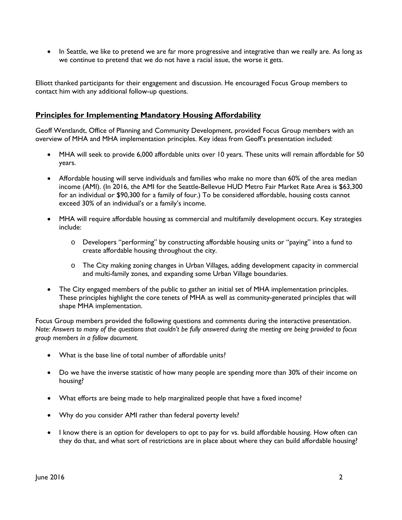• In Seattle, we like to pretend we are far more progressive and integrative than we really are. As long as we continue to pretend that we do not have a racial issue, the worse it gets.

Elliott thanked participants for their engagement and discussion. He encouraged Focus Group members to contact him with any additional follow-up questions.

# **Principles for Implementing Mandatory Housing Affordability**

Geoff Wentlandt, Office of Planning and Community Development, provided Focus Group members with an overview of MHA and MHA implementation principles. Key ideas from Geoff's presentation included:

- MHA will seek to provide 6,000 affordable units over 10 years. These units will remain affordable for 50 years.
- Affordable housing will serve individuals and families who make no more than 60% of the area median income (AMI). (In 2016, the AMI for the Seattle-Bellevue HUD Metro Fair Market Rate Area is \$63,300 for an individual or \$90,300 for a family of four.) To be considered affordable, housing costs cannot exceed 30% of an individual's or a family's income.
- MHA will require affordable housing as commercial and multifamily development occurs. Key strategies include:
	- o Developers "performing" by constructing affordable housing units or "paying" into a fund to create affordable housing throughout the city.
	- o The City making zoning changes in Urban Villages, adding development capacity in commercial and multi-family zones, and expanding some Urban Village boundaries.
- The City engaged members of the public to gather an initial set of MHA implementation principles. These principles highlight the core tenets of MHA as well as community-generated principles that will shape MHA implementation.

Focus Group members provided the following questions and comments during the interactive presentation. *Note: Answers to many of the questions that couldn't be fully answered during the meeting are being provided to focus group members in a follow document.* 

- What is the base line of total number of affordable units?
- Do we have the inverse statistic of how many people are spending more than 30% of their income on housing?
- What efforts are being made to help marginalized people that have a fixed income?
- Why do you consider AMI rather than federal poverty levels?
- I know there is an option for developers to opt to pay for vs. build affordable housing. How often can they do that, and what sort of restrictions are in place about where they can build affordable housing?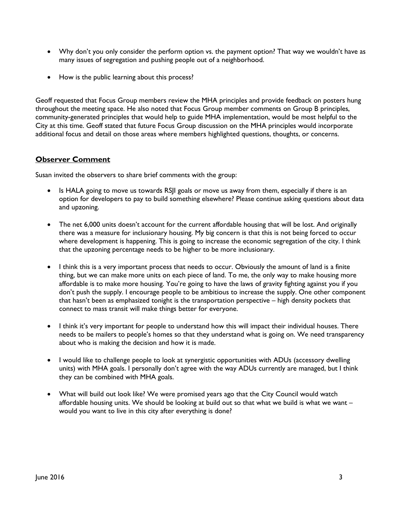- Why don't you only consider the perform option vs. the payment option? That way we wouldn't have as many issues of segregation and pushing people out of a neighborhood.
- How is the public learning about this process?

Geoff requested that Focus Group members review the MHA principles and provide feedback on posters hung throughout the meeting space. He also noted that Focus Group member comments on Group B principles, community-generated principles that would help to guide MHA implementation, would be most helpful to the City at this time. Geoff stated that future Focus Group discussion on the MHA principles would incorporate additional focus and detail on those areas where members highlighted questions, thoughts, or concerns.

## **Observer Comment**

Susan invited the observers to share brief comments with the group:

- Is HALA going to move us towards RSJI goals or move us away from them, especially if there is an option for developers to pay to build something elsewhere? Please continue asking questions about data and upzoning.
- The net 6,000 units doesn't account for the current affordable housing that will be lost. And originally there was a measure for inclusionary housing. My big concern is that this is not being forced to occur where development is happening. This is going to increase the economic segregation of the city. I think that the upzoning percentage needs to be higher to be more inclusionary.
- I think this is a very important process that needs to occur. Obviously the amount of land is a finite thing, but we can make more units on each piece of land. To me, the only way to make housing more affordable is to make more housing. You're going to have the laws of gravity fighting against you if you don't push the supply. I encourage people to be ambitious to increase the supply. One other component that hasn't been as emphasized tonight is the transportation perspective – high density pockets that connect to mass transit will make things better for everyone.
- I think it's very important for people to understand how this will impact their individual houses. There needs to be mailers to people's homes so that they understand what is going on. We need transparency about who is making the decision and how it is made.
- I would like to challenge people to look at synergistic opportunities with ADUs (accessory dwelling units) with MHA goals. I personally don't agree with the way ADUs currently are managed, but I think they can be combined with MHA goals.
- What will build out look like? We were promised years ago that the City Council would watch affordable housing units. We should be looking at build out so that what we build is what we want – would you want to live in this city after everything is done?